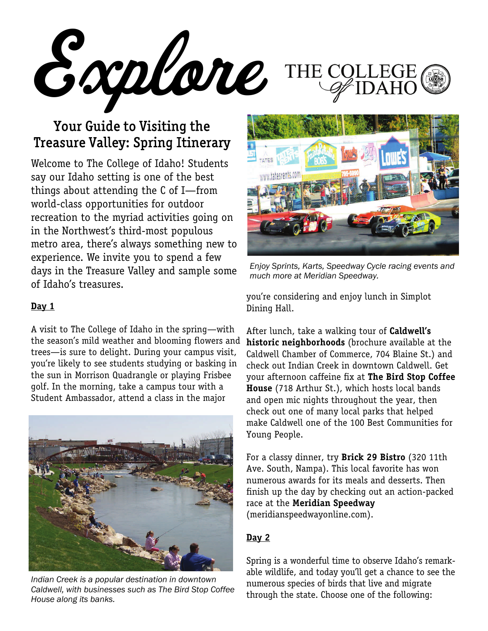Explore THE COI

## Your Guide to Visiting the Treasure Valley: Spring Itinerary

Welcome to The College of Idaho! Students say our Idaho setting is one of the best things about attending the C of I—from world-class opportunities for outdoor recreation to the myriad activities going on in the Northwest's third-most populous metro area, there's always something new to experience. We invite you to spend a few days in the Treasure Valley and sample some of Idaho's treasures.

## **Day 1**

A visit to The College of Idaho in the spring—with the season's mild weather and blooming flowers and trees—is sure to delight. During your campus visit, you're likely to see students studying or basking in the sun in Morrison Quadrangle or playing Frisbee golf. In the morning, take a campus tour with a Student Ambassador, attend a class in the major



*Indian Creek is a popular destination in downtown Caldwell, with businesses such as The Bird Stop Coffee House along its banks.* 



*Enjoy Sprints, Karts, Speedway Cycle racing events and much more at Meridian Speedway.* 

you're considering and enjoy lunch in Simplot Dining Hall.

After lunch, take a walking tour of **Caldwell's historic neighborhoods** (brochure available at the Caldwell Chamber of Commerce, 704 Blaine St.) and check out Indian Creek in downtown Caldwell. Get your afternoon caffeine fix at **The Bird Stop Coffee House** (718 Arthur St.), which hosts local bands and open mic nights throughout the year, then check out one of many local parks that helped make Caldwell one of the 100 Best Communities for Young People.

For a classy dinner, try **Brick 29 Bistro** (320 11th Ave. South, Nampa). This local favorite has won numerous awards for its meals and desserts. Then finish up the day by checking out an action-packed race at the **Meridian Speedway**  (meridianspeedwayonline.com).

## **Day 2**

Spring is a wonderful time to observe Idaho's remarkable wildlife, and today you'll get a chance to see the numerous species of birds that live and migrate through the state. Choose one of the following: